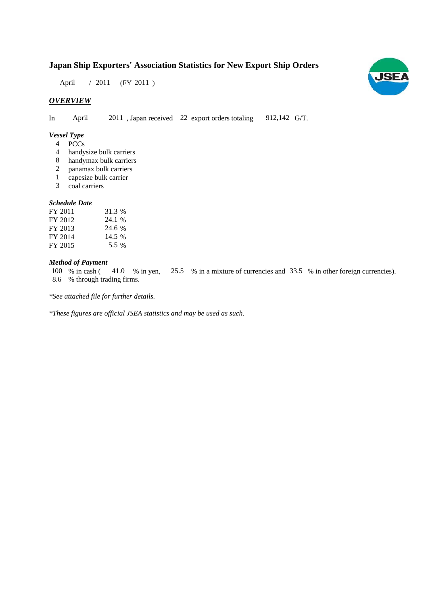# **Japan Ship Exporters' Association Statistics for New Export Ship Orders**

April / 2011 (FY 2011)

# *OVERVIEW*

In April 2011, Japan received 22 export orders totaling 912,142 G/T. 912,142 G/T.

### *Vessel Type*

- PCCs 4
- handysize bulk carriers 4
- handymax bulk carriers 8
- panamax bulk carriers 2
- capesize bulk carrier 1
- coal carriers coal 3

#### *Schedule Date*

| FY 2011 | 31.3 % |
|---------|--------|
| FY 2012 | 24.1 % |
| FY 2013 | 24.6 % |
| FY 2014 | 14.5 % |
| FY 2015 | 5.5 %  |

## *Method of Payment*

100 % in cash (41.0 % in yen, 25.5 % in a mixture of currencies and 33.5 % in other foreign currencies). % through trading firms. 8.6

*\*See attached file for further details.*

*\*These figures are official JSEA statistics and may be used as such.*

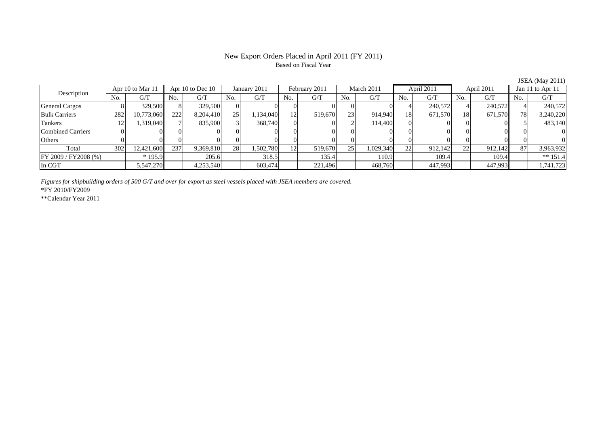### New Export Orders Placed in April 2011 (FY 2011) Based on Fiscal Year

|                          |     |                  |     |                      |           |              |     |               |     |            |     |            |               |            |     | $\frac{1}{2}$    |
|--------------------------|-----|------------------|-----|----------------------|-----------|--------------|-----|---------------|-----|------------|-----|------------|---------------|------------|-----|------------------|
| Description              |     | Apr 10 to Mar 11 |     | Apr $10$ to Dec $10$ |           | January 2011 |     | February 2011 |     | March 2011 |     | April 2011 |               | April 2011 |     | Jan 11 to Apr 11 |
|                          | No. | G/T              | No. | G/T                  | No.       | G/T          | No. | G/T           | No. | G/T        | No. | G/T        | No.           | G/T        | No. | G/T              |
| <b>General Cargos</b>    |     | 329,500          |     | 329,500              |           |              |     |               |     |            |     | 240,572    |               | 240,572    |     | 240,572          |
| <b>Bulk Carriers</b>     | 282 | 10,773,060       | 222 | 8,204,410            | 25        | 1,134,040    | 12. | 519,670       | 23  | 914,940    | 18  | 671,570    | 18            | 671,570    | 781 | 3,240,220        |
| Tankers                  | 12  | 1,319,040        |     | 835,900              |           | 368,740      |     |               |     | 114.400    |     |            |               |            |     | 483,140          |
| <b>Combined Carriers</b> |     |                  |     |                      |           |              |     |               |     |            |     |            |               |            |     |                  |
| Others                   |     |                  |     |                      |           |              |     |               |     |            |     |            |               |            |     |                  |
| Total                    | 302 | 12,421,600       | 237 | 9,369,810            | <b>28</b> | 1,502,780    |     | 519,670       | 25  | 1,029,340  | 22  | 912,142    | $\mathcal{D}$ | 912,142    | 87  | 3,963,932        |
| FY 2009 / FY 2008 (%)    |     | $*195.9$         |     | 205.6                |           | 318.5        |     | 135.4         |     | 110.9      |     | 109.4      |               | 109.4      |     | ** $151.4$       |
| In CGT                   |     | 5,547,270        |     | 4,253,540            |           | 603,474      |     | 221,496       |     | 468,760    |     | 447,993    |               | 447,993    |     | 1,741,723        |

*Figures for shipbuilding orders of 500 G/T and over for export as steel vessels placed with JSEA members are covered.*

\*FY 2010/FY2009

\*\*Calendar Year 2011

JSEA (May 2011)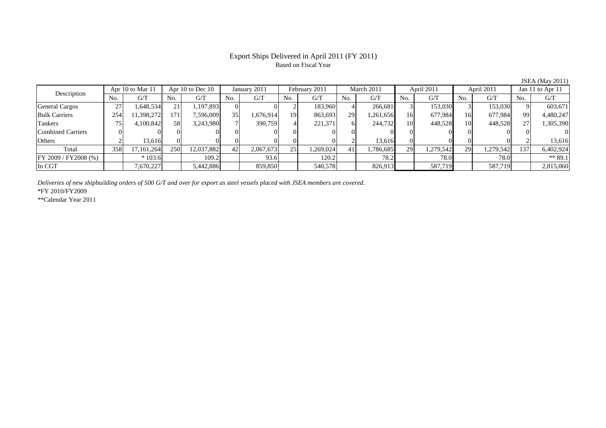#### Export Ships Delivered in April 2011 (FY 2011) Based on Fiscal Year

No. G/T No. G/T No. G/T No. G/T No. G/T No. G/T No. G/T No. G/T $G/T$ General Cargos | 27 | 1,648,534|| 21 | 1,197,893 | 0| 2| 183,960 | 4 | 266,681 | 3 | 153,030 | 3 | 153,030 || 9 | 603,671 Bulk Carriers 254 11,398,272 171 7,596,009 35 1,676,914 19 863,693 29 1,261,656 16 677,984 16 677,984 99 4,480,247 Tankers | 75 | 4,100,842|| 58 | 3,243,980 | 7| 390,759 | 4| 221,371 | 6 | 244,732 | 10 | 448,528 | 10 | 448,528 | 27 | 1,305,390 Combined Carriers 0 0 0 0 0 0 0 0 0 0 0 0 0 0 0 0Others 2 13,616 0 0 0 0 0 0 2 13,616 0 0 0 0 2 13,616 Total 358 17,161,264 250 12,037,882 42 2,067,673 25 1,269,024 41 1,786,685 29 1,279,542 29 1,279,542 137 6,402,924 FY 2009 / FY2008 (%) \* 103.6 109.2 93.6 120.2 78.2 78.0 78.0 78.0 \*\* 89.1 In CGT | | 7,670,227 || | 5,442,886 | | 859,850 | | 540,578 | | 826,913 | | 587,719 | | 587,719 | | 2,815,060 Apr 10 to Dec 10 January 2011 February 2011 Description Apr 10 to Mar 11 March 2011 April 2011 April 2011 Jan 11 to Apr 11

*Deliveries of new shipbuilding orders of 500 G/T and over for export as steel vessels placed with JSEA members are covered.*

\*FY 2010/FY2009

\*\*Calendar Year 2011

JSEA (May 2011)